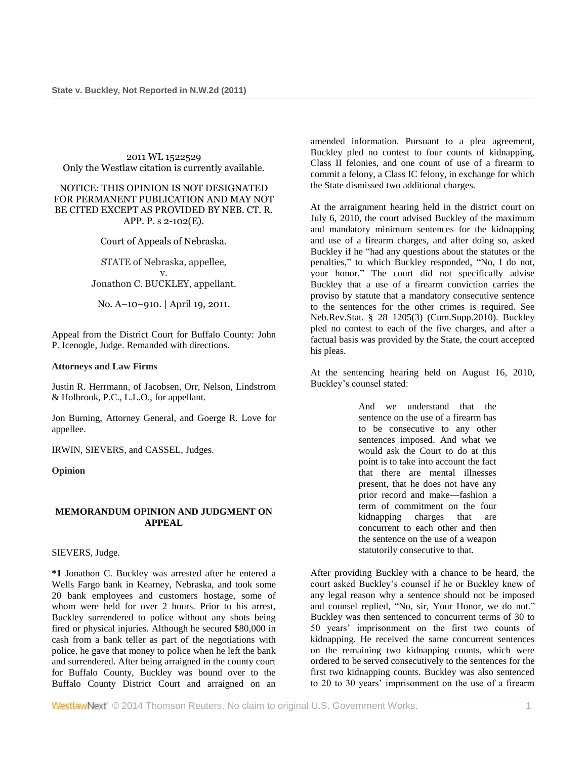## 2011 WL 1522529 Only the Westlaw citation is currently available.

## NOTICE: THIS OPINION IS NOT DESIGNATED FOR PERMANENT PUBLICATION AND MAY NOT BE CITED EXCEPT AS PROVIDED BY NEB. CT. R. APP. P. s 2-102(E).

Court of Appeals of Nebraska.

STATE of Nebraska, appellee, v. Jonathon C. BUCKLEY, appellant.

No. A–10–910. | April 19, 2011.

Appeal from the District Court for Buffalo County: [John](http://www.westlaw.com/Link/Document/FullText?findType=h&pubNum=176284&cite=0173874402&originatingDoc=I2a8224c66cfe11e0a8a2938374af9660&refType=RQ&originationContext=document&vr=3.0&rs=cblt1.0&transitionType=DocumentItem&contextData=(sc.Search))  [P. Icenogle,](http://www.westlaw.com/Link/Document/FullText?findType=h&pubNum=176284&cite=0173874402&originatingDoc=I2a8224c66cfe11e0a8a2938374af9660&refType=RQ&originationContext=document&vr=3.0&rs=cblt1.0&transitionType=DocumentItem&contextData=(sc.Search)) Judge. Remanded with directions.

## **Attorneys and Law Firms**

[Justin R. Herrmann,](http://www.westlaw.com/Link/Document/FullText?findType=h&pubNum=176284&cite=0416909801&originatingDoc=I2a8224c66cfe11e0a8a2938374af9660&refType=RQ&originationContext=document&vr=3.0&rs=cblt1.0&transitionType=DocumentItem&contextData=(sc.Search)) of Jacobsen, Orr, Nelson, Lindstrom & Holbrook, P.C., L.L.O., for appellant.

Jon Burning, Attorney General, and [Goerge R. Love](http://www.westlaw.com/Link/Document/FullText?findType=h&pubNum=176284&cite=0240955901&originatingDoc=I2a8224c66cfe11e0a8a2938374af9660&refType=RQ&originationContext=document&vr=3.0&rs=cblt1.0&transitionType=DocumentItem&contextData=(sc.Search)) for appellee.

[IRWIN,](http://www.westlaw.com/Link/Document/FullText?findType=h&pubNum=176284&cite=0124996101&originatingDoc=I2a8224c66cfe11e0a8a2938374af9660&refType=RQ&originationContext=document&vr=3.0&rs=cblt1.0&transitionType=DocumentItem&contextData=(sc.Search)) [SIEVERS,](http://www.westlaw.com/Link/Document/FullText?findType=h&pubNum=176284&cite=0208161101&originatingDoc=I2a8224c66cfe11e0a8a2938374af9660&refType=RQ&originationContext=document&vr=3.0&rs=cblt1.0&transitionType=DocumentItem&contextData=(sc.Search)) and [CASSEL,](http://www.westlaw.com/Link/Document/FullText?findType=h&pubNum=176284&cite=0164811701&originatingDoc=I2a8224c66cfe11e0a8a2938374af9660&refType=RQ&originationContext=document&vr=3.0&rs=cblt1.0&transitionType=DocumentItem&contextData=(sc.Search)) Judges.

#### **Opinion**

## **MEMORANDUM OPINION AND JUDGMENT ON APPEAL**

[SIEVERS,](http://www.westlaw.com/Link/Document/FullText?findType=h&pubNum=176284&cite=0208161101&originatingDoc=I2a8224c66cfe11e0a8a2938374af9660&refType=RQ&originationContext=document&vr=3.0&rs=cblt1.0&transitionType=DocumentItem&contextData=(sc.Search)) Judge.

**\*1** Jonathon C. Buckley was arrested after he entered a Wells Fargo bank in Kearney, Nebraska, and took some 20 bank employees and customers hostage, some of whom were held for over 2 hours. Prior to his arrest, Buckley surrendered to police without any shots being fired or physical injuries. Although he secured \$80,000 in cash from a bank teller as part of the negotiations with police, he gave that money to police when he left the bank and surrendered. After being arraigned in the county court for Buffalo County, Buckley was bound over to the Buffalo County District Court and arraigned on an amended information. Pursuant to a plea agreement, Buckley pled no contest to four counts of kidnapping, Class II felonies, and one count of use of a firearm to commit a felony, a Class IC felony, in exchange for which the State dismissed two additional charges.

At the arraignment hearing held in the district court on July 6, 2010, the court advised Buckley of the maximum and mandatory minimum sentences for the kidnapping and use of a firearm charges, and after doing so, asked Buckley if he "had any questions about the statutes or the penalties," to which Buckley responded, "No, I do not, your honor." The court did not specifically advise Buckley that a use of a firearm conviction carries the proviso by statute that a mandatory consecutive sentence to the sentences for the other crimes is required. See [Neb.Rev.Stat. § 28–1205\(3\)](http://www.westlaw.com/Link/Document/FullText?findType=L&pubNum=1000257&cite=NESTS28-1205&originatingDoc=I2a8224c66cfe11e0a8a2938374af9660&refType=SP&originationContext=document&vr=3.0&rs=cblt1.0&transitionType=DocumentItem&contextData=(sc.Search)#co_pp_d08f0000f5f67) (Cum.Supp.2010). Buckley pled no contest to each of the five charges, and after a factual basis was provided by the State, the court accepted his pleas.

At the sentencing hearing held on August 16, 2010, Buckley's counsel stated:

> And we understand that the sentence on the use of a firearm has to be consecutive to any other sentences imposed. And what we would ask the Court to do at this point is to take into account the fact that there are mental illnesses present, that he does not have any prior record and make—fashion a term of commitment on the four kidnapping charges that are concurrent to each other and then the sentence on the use of a weapon statutorily consecutive to that.

After providing Buckley with a chance to be heard, the court asked Buckley's counsel if he or Buckley knew of any legal reason why a sentence should not be imposed and counsel replied, "No, sir, Your Honor, we do not." Buckley was then sentenced to concurrent terms of 30 to 50 years' imprisonment on the first two counts of kidnapping. He received the same concurrent sentences on the remaining two kidnapping counts, which were ordered to be served consecutively to the sentences for the first two kidnapping counts. Buckley was also sentenced to 20 to 30 years' imprisonment on the use of a firearm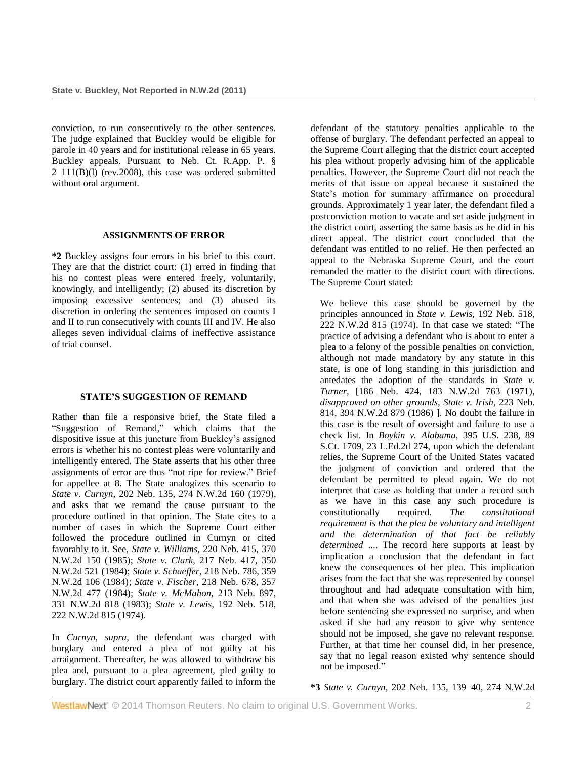conviction, to run consecutively to the other sentences. The judge explained that Buckley would be eligible for parole in 40 years and for institutional release in 65 years. Buckley appeals. Pursuant to Neb. Ct. R.App. P. §  $2-111(B)(1)$  (rev. 2008), this case was ordered submitted without oral argument.

## **ASSIGNMENTS OF ERROR**

**\*2** Buckley assigns four errors in his brief to this court. They are that the district court: (1) erred in finding that his no contest pleas were entered freely, voluntarily, knowingly, and intelligently; (2) abused its discretion by imposing excessive sentences; and (3) abused its discretion in ordering the sentences imposed on counts I and II to run consecutively with counts III and IV. He also alleges seven individual claims of ineffective assistance of trial counsel.

#### **STATE'S SUGGESTION OF REMAND**

Rather than file a responsive brief, the State filed a "Suggestion of Remand," which claims that the dispositive issue at this juncture from Buckley's assigned errors is whether his no contest pleas were voluntarily and intelligently entered. The State asserts that his other three assignments of error are thus "not ripe for review." Brief for appellee at 8. The State analogizes this scenario to *State v. Curnyn,* [202 Neb. 135, 274 N.W.2d 160 \(1979\),](http://www.westlaw.com/Link/Document/FullText?findType=Y&serNum=1979104148&pubNum=595&originationContext=document&vr=3.0&rs=cblt1.0&transitionType=DocumentItem&contextData=(sc.Search)) and asks that we remand the cause pursuant to the procedure outlined in that opinion. The State cites to a number of cases in which the Supreme Court either followed the procedure outlined in Curnyn or cited favorably to it. See, *State v. Williams,* [220 Neb. 415, 370](http://www.westlaw.com/Link/Document/FullText?findType=Y&serNum=1985135434&pubNum=595&originationContext=document&vr=3.0&rs=cblt1.0&transitionType=DocumentItem&contextData=(sc.Search))  [N.W.2d 150 \(1985\);](http://www.westlaw.com/Link/Document/FullText?findType=Y&serNum=1985135434&pubNum=595&originationContext=document&vr=3.0&rs=cblt1.0&transitionType=DocumentItem&contextData=(sc.Search)) *State v. Clark,* [217 Neb. 417, 350](http://www.westlaw.com/Link/Document/FullText?findType=Y&serNum=1984126251&pubNum=595&originationContext=document&vr=3.0&rs=cblt1.0&transitionType=DocumentItem&contextData=(sc.Search))  [N.W.2d 521 \(1984\);](http://www.westlaw.com/Link/Document/FullText?findType=Y&serNum=1984126251&pubNum=595&originationContext=document&vr=3.0&rs=cblt1.0&transitionType=DocumentItem&contextData=(sc.Search)) *State v. Schaeffer,* [218 Neb. 786, 359](http://www.westlaw.com/Link/Document/FullText?findType=Y&serNum=1984159434&pubNum=595&originationContext=document&vr=3.0&rs=cblt1.0&transitionType=DocumentItem&contextData=(sc.Search))  [N.W.2d 106 \(1984\);](http://www.westlaw.com/Link/Document/FullText?findType=Y&serNum=1984159434&pubNum=595&originationContext=document&vr=3.0&rs=cblt1.0&transitionType=DocumentItem&contextData=(sc.Search)) *State v. Fischer,* [218 Neb. 678, 357](http://www.westlaw.com/Link/Document/FullText?findType=Y&serNum=1984154543&pubNum=595&originationContext=document&vr=3.0&rs=cblt1.0&transitionType=DocumentItem&contextData=(sc.Search))  [N.W.2d 477 \(1984\);](http://www.westlaw.com/Link/Document/FullText?findType=Y&serNum=1984154543&pubNum=595&originationContext=document&vr=3.0&rs=cblt1.0&transitionType=DocumentItem&contextData=(sc.Search)) *[State v. McMahon,](http://www.westlaw.com/Link/Document/FullText?findType=Y&serNum=1983116218&pubNum=595&originationContext=document&vr=3.0&rs=cblt1.0&transitionType=DocumentItem&contextData=(sc.Search))* 213 Neb. 897, [331 N.W.2d 818 \(1983\);](http://www.westlaw.com/Link/Document/FullText?findType=Y&serNum=1983116218&pubNum=595&originationContext=document&vr=3.0&rs=cblt1.0&transitionType=DocumentItem&contextData=(sc.Search)) *State v. Lewis,* [192 Neb. 518,](http://www.westlaw.com/Link/Document/FullText?findType=Y&serNum=1974118946&pubNum=595&originationContext=document&vr=3.0&rs=cblt1.0&transitionType=DocumentItem&contextData=(sc.Search))  [222 N.W.2d 815 \(1974\).](http://www.westlaw.com/Link/Document/FullText?findType=Y&serNum=1974118946&pubNum=595&originationContext=document&vr=3.0&rs=cblt1.0&transitionType=DocumentItem&contextData=(sc.Search))

In *Curnyn, supra,* the defendant was charged with burglary and entered a plea of not guilty at his arraignment. Thereafter, he was allowed to withdraw his plea and, pursuant to a plea agreement, pled guilty to burglary. The district court apparently failed to inform the defendant of the statutory penalties applicable to the offense of burglary. The defendant perfected an appeal to the Supreme Court alleging that the district court accepted his plea without properly advising him of the applicable penalties. However, the Supreme Court did not reach the merits of that issue on appeal because it sustained the State's motion for summary affirmance on procedural grounds. Approximately 1 year later, the defendant filed a postconviction motion to vacate and set aside judgment in the district court, asserting the same basis as he did in his direct appeal. The district court concluded that the defendant was entitled to no relief. He then perfected an appeal to the Nebraska Supreme Court, and the court remanded the matter to the district court with directions. The Supreme Court stated:

We believe this case should be governed by the principles announced in *State v. Lewis,* [192 Neb. 518,](http://www.westlaw.com/Link/Document/FullText?findType=Y&serNum=1974118946&pubNum=595&originationContext=document&vr=3.0&rs=cblt1.0&transitionType=DocumentItem&contextData=(sc.Search))  [222 N.W.2d 815 \(1974\).](http://www.westlaw.com/Link/Document/FullText?findType=Y&serNum=1974118946&pubNum=595&originationContext=document&vr=3.0&rs=cblt1.0&transitionType=DocumentItem&contextData=(sc.Search)) In that case we stated: "The practice of advising a defendant who is about to enter a plea to a felony of the possible penalties on conviction, although not made mandatory by any statute in this state, is one of long standing in this jurisdiction and antedates the adoption of the standards in *[State v.](http://www.westlaw.com/Link/Document/FullText?findType=Y&serNum=1971117180&pubNum=595&originationContext=document&vr=3.0&rs=cblt1.0&transitionType=DocumentItem&contextData=(sc.Search))  Turner,* [\[186 Neb. 424, 183 N.W.2d 763 \(1971\),](http://www.westlaw.com/Link/Document/FullText?findType=Y&serNum=1971117180&pubNum=595&originationContext=document&vr=3.0&rs=cblt1.0&transitionType=DocumentItem&contextData=(sc.Search)) *disapproved on other grounds, [State v. Irish,](http://www.westlaw.com/Link/Document/FullText?findType=Y&serNum=1986152521&pubNum=595&originationContext=document&vr=3.0&rs=cblt1.0&transitionType=DocumentItem&contextData=(sc.Search))* 223 Neb. [814, 394 N.W.2d 879 \(1986\)](http://www.westlaw.com/Link/Document/FullText?findType=Y&serNum=1986152521&pubNum=595&originationContext=document&vr=3.0&rs=cblt1.0&transitionType=DocumentItem&contextData=(sc.Search)) ]. No doubt the failure in this case is the result of oversight and failure to use a check list. In *[Boykin v. Alabama,](http://www.westlaw.com/Link/Document/FullText?findType=Y&serNum=1969132997&pubNum=708&originationContext=document&vr=3.0&rs=cblt1.0&transitionType=DocumentItem&contextData=(sc.Search))* 395 U.S. 238, 89 [S.Ct. 1709, 23 L.Ed.2d 274,](http://www.westlaw.com/Link/Document/FullText?findType=Y&serNum=1969132997&pubNum=708&originationContext=document&vr=3.0&rs=cblt1.0&transitionType=DocumentItem&contextData=(sc.Search)) upon which the defendant relies, the Supreme Court of the United States vacated the judgment of conviction and ordered that the defendant be permitted to plead again. We do not interpret that case as holding that under a record such as we have in this case any such procedure is<br>constitutionally required. The constitutional constitutionally required. *The constitutional requirement is that the plea be voluntary and intelligent and the determination of that fact be reliably determined* .... The record here supports at least by implication a conclusion that the defendant in fact knew the consequences of her plea. This implication arises from the fact that she was represented by counsel throughout and had adequate consultation with him, and that when she was advised of the penalties just before sentencing she expressed no surprise, and when asked if she had any reason to give why sentence should not be imposed, she gave no relevant response. Further, at that time her counsel did, in her presence, say that no legal reason existed why sentence should not be imposed."

**\*3** *State v. Curnyn,* [202 Neb. 135, 139–40, 274 N.W.2d](http://www.westlaw.com/Link/Document/FullText?findType=Y&serNum=1979104148&pubNum=595&fi=co_pp_sp_595_160&originationContext=document&vr=3.0&rs=cblt1.0&transitionType=DocumentItem&contextData=(sc.Search)#co_pp_sp_595_160)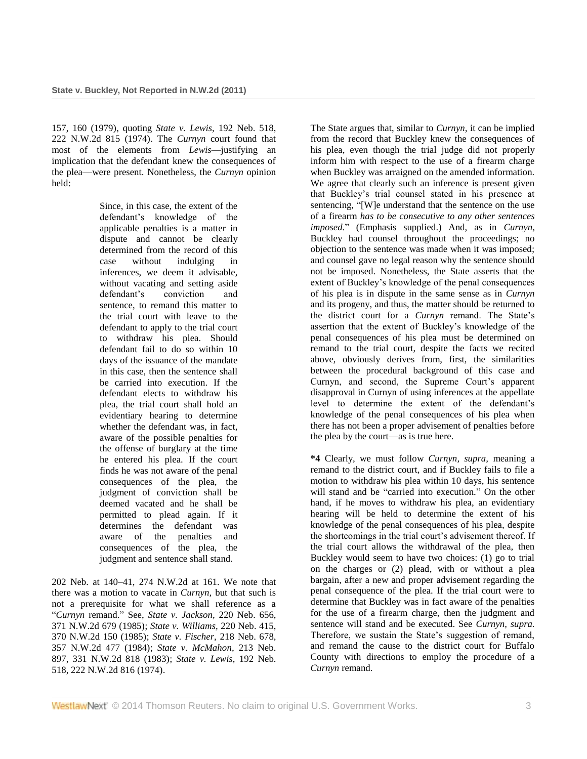157, 160 (1979), quoting *State v. Lewis,* [192 Neb. 518,](http://www.westlaw.com/Link/Document/FullText?findType=Y&serNum=1974118946&pubNum=595&originationContext=document&vr=3.0&rs=cblt1.0&transitionType=DocumentItem&contextData=(sc.Search))  [222 N.W.2d 815 \(1974\).](http://www.westlaw.com/Link/Document/FullText?findType=Y&serNum=1974118946&pubNum=595&originationContext=document&vr=3.0&rs=cblt1.0&transitionType=DocumentItem&contextData=(sc.Search)) The *Curnyn* court found that most of the elements from *Lewis*—justifying an implication that the defendant knew the consequences of the plea—were present. Nonetheless, the *Curnyn* opinion held:

> Since, in this case, the extent of the defendant's knowledge of the applicable penalties is a matter in dispute and cannot be clearly determined from the record of this case without indulging in inferences, we deem it advisable, without vacating and setting aside defendant's conviction and sentence, to remand this matter to the trial court with leave to the defendant to apply to the trial court to withdraw his plea. Should defendant fail to do so within 10 days of the issuance of the mandate in this case, then the sentence shall be carried into execution. If the defendant elects to withdraw his plea, the trial court shall hold an evidentiary hearing to determine whether the defendant was, in fact, aware of the possible penalties for the offense of burglary at the time he entered his plea. If the court finds he was not aware of the penal consequences of the plea, the judgment of conviction shall be deemed vacated and he shall be permitted to plead again. If it determines the defendant was aware of the penalties and consequences of the plea, the judgment and sentence shall stand.

[202 Neb. at 140–41, 274 N.W.2d at 161.](http://www.westlaw.com/Link/Document/FullText?findType=Y&serNum=1979104148&pubNum=595&fi=co_pp_sp_595_161&originationContext=document&vr=3.0&rs=cblt1.0&transitionType=DocumentItem&contextData=(sc.Search)#co_pp_sp_595_161) We note that there was a motion to vacate in *Curnyn,* but that such is not a prerequisite for what we shall reference as a "*Curnyn* remand." See, *[State v. Jackson,](http://www.westlaw.com/Link/Document/FullText?findType=Y&serNum=1985140043&pubNum=595&originationContext=document&vr=3.0&rs=cblt1.0&transitionType=DocumentItem&contextData=(sc.Search))* 220 Neb. 656, [371 N.W.2d 679 \(1985\);](http://www.westlaw.com/Link/Document/FullText?findType=Y&serNum=1985140043&pubNum=595&originationContext=document&vr=3.0&rs=cblt1.0&transitionType=DocumentItem&contextData=(sc.Search)) *[State v. Williams,](http://www.westlaw.com/Link/Document/FullText?findType=Y&serNum=1985135434&pubNum=595&originationContext=document&vr=3.0&rs=cblt1.0&transitionType=DocumentItem&contextData=(sc.Search))* 220 Neb. 415, [370 N.W.2d 150 \(1985\);](http://www.westlaw.com/Link/Document/FullText?findType=Y&serNum=1985135434&pubNum=595&originationContext=document&vr=3.0&rs=cblt1.0&transitionType=DocumentItem&contextData=(sc.Search)) *[State v. Fischer,](http://www.westlaw.com/Link/Document/FullText?findType=Y&serNum=1984154543&pubNum=595&originationContext=document&vr=3.0&rs=cblt1.0&transitionType=DocumentItem&contextData=(sc.Search))* 218 Neb. 678, [357 N.W.2d 477 \(1984\);](http://www.westlaw.com/Link/Document/FullText?findType=Y&serNum=1984154543&pubNum=595&originationContext=document&vr=3.0&rs=cblt1.0&transitionType=DocumentItem&contextData=(sc.Search)) *[State v. McMahon,](http://www.westlaw.com/Link/Document/FullText?findType=Y&serNum=1983116218&pubNum=595&originationContext=document&vr=3.0&rs=cblt1.0&transitionType=DocumentItem&contextData=(sc.Search))* 213 Neb. [897, 331 N.W.2d 818 \(1983\);](http://www.westlaw.com/Link/Document/FullText?findType=Y&serNum=1983116218&pubNum=595&originationContext=document&vr=3.0&rs=cblt1.0&transitionType=DocumentItem&contextData=(sc.Search)) *[State v. Lewis,](http://www.westlaw.com/Link/Document/FullText?findType=Y&serNum=1974118946&pubNum=595&originationContext=document&vr=3.0&rs=cblt1.0&transitionType=DocumentItem&contextData=(sc.Search))* 192 Neb. [518, 222 N.W.2d 816 \(1974\).](http://www.westlaw.com/Link/Document/FullText?findType=Y&serNum=1974118946&pubNum=595&originationContext=document&vr=3.0&rs=cblt1.0&transitionType=DocumentItem&contextData=(sc.Search))

The State argues that, similar to *Curnyn,* it can be implied from the record that Buckley knew the consequences of his plea, even though the trial judge did not properly inform him with respect to the use of a firearm charge when Buckley was arraigned on the amended information. We agree that clearly such an inference is present given that Buckley's trial counsel stated in his presence at sentencing, "[W]e understand that the sentence on the use of a firearm *has to be consecutive to any other sentences imposed.*" (Emphasis supplied.) And, as in *Curnyn,* Buckley had counsel throughout the proceedings; no objection to the sentence was made when it was imposed; and counsel gave no legal reason why the sentence should not be imposed. Nonetheless, the State asserts that the extent of Buckley's knowledge of the penal consequences of his plea is in dispute in the same sense as in *Curnyn* and its progeny, and thus, the matter should be returned to the district court for a *Curnyn* remand. The State's assertion that the extent of Buckley's knowledge of the penal consequences of his plea must be determined on remand to the trial court, despite the facts we recited above, obviously derives from, first, the similarities between the procedural background of this case and Curnyn, and second, the Supreme Court's apparent disapproval in Curnyn of using inferences at the appellate level to determine the extent of the defendant's knowledge of the penal consequences of his plea when there has not been a proper advisement of penalties before the plea by the court—as is true here.

**\*4** Clearly, we must follow *Curnyn, supra,* meaning a remand to the district court, and if Buckley fails to file a motion to withdraw his plea within 10 days, his sentence will stand and be "carried into execution." On the other hand, if he moves to withdraw his plea, an evidentiary hearing will be held to determine the extent of his knowledge of the penal consequences of his plea, despite the shortcomings in the trial court's advisement thereof. If the trial court allows the withdrawal of the plea, then Buckley would seem to have two choices: (1) go to trial on the charges or (2) plead, with or without a plea bargain, after a new and proper advisement regarding the penal consequence of the plea. If the trial court were to determine that Buckley was in fact aware of the penalties for the use of a firearm charge, then the judgment and sentence will stand and be executed. See *Curnyn, supra.* Therefore, we sustain the State's suggestion of remand. and remand the cause to the district court for Buffalo County with directions to employ the procedure of a *Curnyn* remand.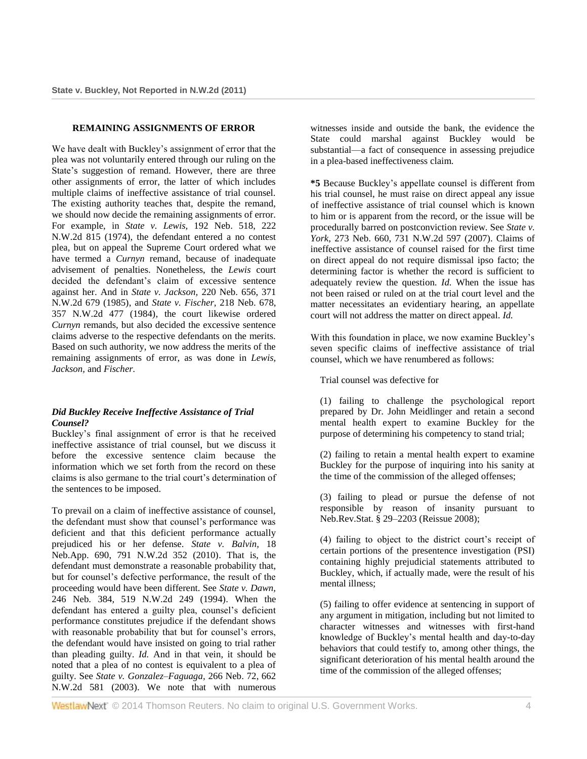## **REMAINING ASSIGNMENTS OF ERROR**

We have dealt with Buckley's assignment of error that the plea was not voluntarily entered through our ruling on the State's suggestion of remand. However, there are three other assignments of error, the latter of which includes multiple claims of ineffective assistance of trial counsel. The existing authority teaches that, despite the remand, we should now decide the remaining assignments of error. For example, in *State v. Lewis,* [192 Neb. 518, 222](http://www.westlaw.com/Link/Document/FullText?findType=Y&serNum=1974118946&pubNum=595&originationContext=document&vr=3.0&rs=cblt1.0&transitionType=DocumentItem&contextData=(sc.Search))  [N.W.2d 815 \(1974\),](http://www.westlaw.com/Link/Document/FullText?findType=Y&serNum=1974118946&pubNum=595&originationContext=document&vr=3.0&rs=cblt1.0&transitionType=DocumentItem&contextData=(sc.Search)) the defendant entered a no contest plea, but on appeal the Supreme Court ordered what we have termed a *Curnyn* remand, because of inadequate advisement of penalties. Nonetheless, the *Lewis* court decided the defendant's claim of excessive sentence against her. And in *State v. Jackson,* [220 Neb. 656, 371](http://www.westlaw.com/Link/Document/FullText?findType=Y&serNum=1985140043&pubNum=595&originationContext=document&vr=3.0&rs=cblt1.0&transitionType=DocumentItem&contextData=(sc.Search))  [N.W.2d 679 \(1985\),](http://www.westlaw.com/Link/Document/FullText?findType=Y&serNum=1985140043&pubNum=595&originationContext=document&vr=3.0&rs=cblt1.0&transitionType=DocumentItem&contextData=(sc.Search)) and *[State v. Fischer,](http://www.westlaw.com/Link/Document/FullText?findType=Y&serNum=1984154543&pubNum=595&originationContext=document&vr=3.0&rs=cblt1.0&transitionType=DocumentItem&contextData=(sc.Search))* 218 Neb. 678, [357 N.W.2d 477 \(1984\),](http://www.westlaw.com/Link/Document/FullText?findType=Y&serNum=1984154543&pubNum=595&originationContext=document&vr=3.0&rs=cblt1.0&transitionType=DocumentItem&contextData=(sc.Search)) the court likewise ordered *Curnyn* remands, but also decided the excessive sentence claims adverse to the respective defendants on the merits. Based on such authority, we now address the merits of the remaining assignments of error, as was done in *Lewis, Jackson,* and *Fischer.*

# *Did Buckley Receive Ineffective Assistance of Trial Counsel?*

Buckley's final assignment of error is that he received ineffective assistance of trial counsel, but we discuss it before the excessive sentence claim because the information which we set forth from the record on these claims is also germane to the trial court's determination of the sentences to be imposed.

To prevail on a claim of ineffective assistance of counsel, the defendant must show that counsel's performance was deficient and that this deficient performance actually prejudiced his or her defense. *[State v. Balvin,](http://www.westlaw.com/Link/Document/FullText?findType=Y&serNum=2023960518&pubNum=595&originationContext=document&vr=3.0&rs=cblt1.0&transitionType=DocumentItem&contextData=(sc.Search))* 18 [Neb.App. 690, 791 N.W.2d 352 \(2010\).](http://www.westlaw.com/Link/Document/FullText?findType=Y&serNum=2023960518&pubNum=595&originationContext=document&vr=3.0&rs=cblt1.0&transitionType=DocumentItem&contextData=(sc.Search)) That is, the defendant must demonstrate a reasonable probability that, but for counsel's defective performance, the result of the proceeding would have been different. See *[State v. Dawn,](http://www.westlaw.com/Link/Document/FullText?findType=Y&serNum=1994159088&pubNum=595&originationContext=document&vr=3.0&rs=cblt1.0&transitionType=DocumentItem&contextData=(sc.Search))* [246 Neb. 384, 519 N.W.2d 249 \(1994\).](http://www.westlaw.com/Link/Document/FullText?findType=Y&serNum=1994159088&pubNum=595&originationContext=document&vr=3.0&rs=cblt1.0&transitionType=DocumentItem&contextData=(sc.Search)) When the defendant has entered a guilty plea, counsel's deficient performance constitutes prejudice if the defendant shows with reasonable probability that but for counsel's errors, the defendant would have insisted on going to trial rather than pleading guilty. *Id.* And in that vein, it should be noted that a plea of no contest is equivalent to a plea of guilty. See *[State v. Gonzalez–Faguaga,](http://www.westlaw.com/Link/Document/FullText?findType=Y&serNum=2003403753&pubNum=595&originationContext=document&vr=3.0&rs=cblt1.0&transitionType=DocumentItem&contextData=(sc.Search))* 266 Neb. 72, 662 [N.W.2d 581 \(2003\).](http://www.westlaw.com/Link/Document/FullText?findType=Y&serNum=2003403753&pubNum=595&originationContext=document&vr=3.0&rs=cblt1.0&transitionType=DocumentItem&contextData=(sc.Search)) We note that with numerous

witnesses inside and outside the bank, the evidence the State could marshal against Buckley would be substantial—a fact of consequence in assessing prejudice in a plea-based ineffectiveness claim.

**\*5** Because Buckley's appellate counsel is different from his trial counsel, he must raise on direct appeal any issue of ineffective assistance of trial counsel which is known to him or is apparent from the record, or the issue will be procedurally barred on postconviction review. See *[State v.](http://www.westlaw.com/Link/Document/FullText?findType=Y&serNum=2012341894&pubNum=595&originationContext=document&vr=3.0&rs=cblt1.0&transitionType=DocumentItem&contextData=(sc.Search))  York,* [273 Neb. 660, 731 N.W.2d 597 \(2007\).](http://www.westlaw.com/Link/Document/FullText?findType=Y&serNum=2012341894&pubNum=595&originationContext=document&vr=3.0&rs=cblt1.0&transitionType=DocumentItem&contextData=(sc.Search)) Claims of ineffective assistance of counsel raised for the first time on direct appeal do not require dismissal ipso facto; the determining factor is whether the record is sufficient to adequately review the question. *Id.* When the issue has not been raised or ruled on at the trial court level and the matter necessitates an evidentiary hearing, an appellate court will not address the matter on direct appeal. *Id.*

With this foundation in place, we now examine Buckley's seven specific claims of ineffective assistance of trial counsel, which we have renumbered as follows:

Trial counsel was defective for

(1) failing to challenge the psychological report prepared by Dr. John Meidlinger and retain a second mental health expert to examine Buckley for the purpose of determining his competency to stand trial;

(2) failing to retain a mental health expert to examine Buckley for the purpose of inquiring into his sanity at the time of the commission of the alleged offenses;

(3) failing to plead or pursue the defense of not responsible by reason of insanity pursuant to [Neb.Rev.Stat. § 29–2203 \(Reissue 2008\);](http://www.westlaw.com/Link/Document/FullText?findType=L&pubNum=1000257&cite=NESTS29-2203&originatingDoc=I2a8224c66cfe11e0a8a2938374af9660&refType=LQ&originationContext=document&vr=3.0&rs=cblt1.0&transitionType=DocumentItem&contextData=(sc.Search))

(4) failing to object to the district court's receipt of certain portions of the presentence investigation (PSI) containing highly prejudicial statements attributed to Buckley, which, if actually made, were the result of his mental illness;

(5) failing to offer evidence at sentencing in support of any argument in mitigation, including but not limited to character witnesses and witnesses with first-hand knowledge of Buckley's mental health and day-to-day behaviors that could testify to, among other things, the significant deterioration of his mental health around the time of the commission of the alleged offenses;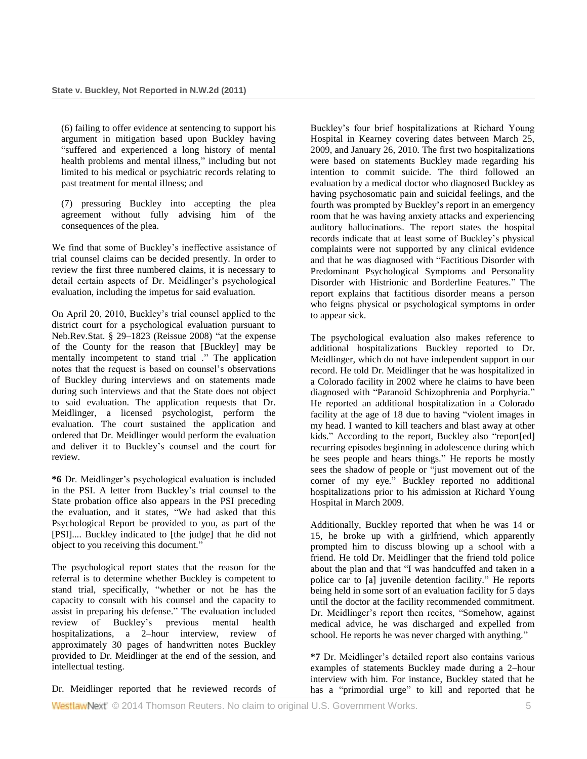(6) failing to offer evidence at sentencing to support his argument in mitigation based upon Buckley having "suffered and experienced a long history of mental health problems and mental illness," including but not limited to his medical or psychiatric records relating to past treatment for mental illness; and

(7) pressuring Buckley into accepting the plea agreement without fully advising him of the consequences of the plea.

We find that some of Buckley's ineffective assistance of trial counsel claims can be decided presently. In order to review the first three numbered claims, it is necessary to detail certain aspects of Dr. Meidlinger's psychological evaluation, including the impetus for said evaluation.

On April 20, 2010, Buckley's trial counsel applied to the district court for a psychological evaluation pursuant to [Neb.Rev.Stat. § 29–1823 \(Reissue 2008\)](http://www.westlaw.com/Link/Document/FullText?findType=L&pubNum=1000257&cite=NESTS29-1823&originatingDoc=I2a8224c66cfe11e0a8a2938374af9660&refType=LQ&originationContext=document&vr=3.0&rs=cblt1.0&transitionType=DocumentItem&contextData=(sc.Search)) "at the expense of the County for the reason that [Buckley] may be mentally incompetent to stand trial ." The application notes that the request is based on counsel's observations of Buckley during interviews and on statements made during such interviews and that the State does not object to said evaluation. The application requests that Dr. Meidlinger, a licensed psychologist, perform the evaluation. The court sustained the application and ordered that Dr. Meidlinger would perform the evaluation and deliver it to Buckley's counsel and the court for review.

**\*6** Dr. Meidlinger's psychological evaluation is included in the PSI. A letter from Buckley's trial counsel to the State probation office also appears in the PSI preceding the evaluation, and it states, "We had asked that this Psychological Report be provided to you, as part of the [PSI].... Buckley indicated to [the judge] that he did not object to you receiving this document."

The psychological report states that the reason for the referral is to determine whether Buckley is competent to stand trial, specifically, "whether or not he has the capacity to consult with his counsel and the capacity to assist in preparing his defense." The evaluation included review of Buckley's previous mental health hospitalizations, a 2–hour interview, review of approximately 30 pages of handwritten notes Buckley provided to Dr. Meidlinger at the end of the session, and intellectual testing.

Dr. Meidlinger reported that he reviewed records of

Buckley's four brief hospitalizations at Richard Young Hospital in Kearney covering dates between March 25, 2009, and January 26, 2010. The first two hospitalizations were based on statements Buckley made regarding his intention to commit suicide. The third followed an evaluation by a medical doctor who diagnosed Buckley as having psychosomatic pain and suicidal feelings, and the fourth was prompted by Buckley's report in an emergency room that he was having anxiety attacks and experiencing auditory hallucinations. The report states the hospital records indicate that at least some of Buckley's physical complaints were not supported by any clinical evidence and that he was diagnosed with "Factitious Disorder with Predominant Psychological Symptoms and Personality Disorder with Histrionic and Borderline Features." The report explains that factitious disorder means a person who feigns physical or psychological symptoms in order to appear sick.

The psychological evaluation also makes reference to additional hospitalizations Buckley reported to Dr. Meidlinger, which do not have independent support in our record. He told Dr. Meidlinger that he was hospitalized in a Colorado facility in 2002 where he claims to have been diagnosed with "Paranoid Schizophrenia and Porphyria." He reported an additional hospitalization in a Colorado facility at the age of 18 due to having "violent images in my head. I wanted to kill teachers and blast away at other kids." According to the report, Buckley also "report[ed] recurring episodes beginning in adolescence during which he sees people and hears things." He reports he mostly sees the shadow of people or "just movement out of the corner of my eye." Buckley reported no additional hospitalizations prior to his admission at Richard Young Hospital in March 2009.

Additionally, Buckley reported that when he was 14 or 15, he broke up with a girlfriend, which apparently prompted him to discuss blowing up a school with a friend. He told Dr. Meidlinger that the friend told police about the plan and that "I was handcuffed and taken in a police car to [a] juvenile detention facility." He reports being held in some sort of an evaluation facility for 5 days until the doctor at the facility recommended commitment. Dr. Meidlinger's report then recites, "Somehow, against medical advice, he was discharged and expelled from school. He reports he was never charged with anything."

**\*7** Dr. Meidlinger's detailed report also contains various examples of statements Buckley made during a 2–hour interview with him. For instance, Buckley stated that he has a "primordial urge" to kill and reported that he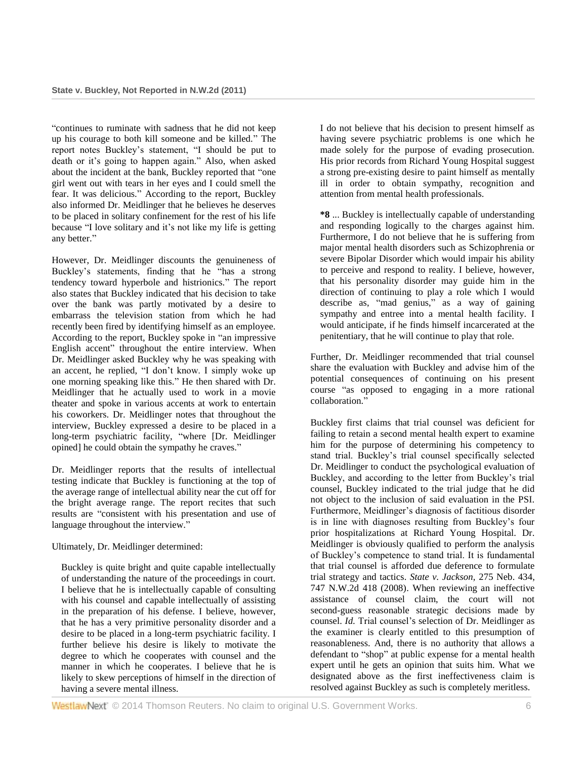"continues to ruminate with sadness that he did not keep up his courage to both kill someone and be killed." The report notes Buckley's statement, "I should be put to death or it's going to happen again." Also, when asked about the incident at the bank, Buckley reported that "one girl went out with tears in her eyes and I could smell the fear. It was delicious." According to the report, Buckley also informed Dr. Meidlinger that he believes he deserves to be placed in solitary confinement for the rest of his life because "I love solitary and it's not like my life is getting any better."

However, Dr. Meidlinger discounts the genuineness of Buckley's statements, finding that he "has a strong tendency toward hyperbole and histrionics." The report also states that Buckley indicated that his decision to take over the bank was partly motivated by a desire to embarrass the television station from which he had recently been fired by identifying himself as an employee. According to the report, Buckley spoke in "an impressive English accent" throughout the entire interview. When Dr. Meidlinger asked Buckley why he was speaking with an accent, he replied, "I don't know. I simply woke up one morning speaking like this." He then shared with Dr. Meidlinger that he actually used to work in a movie theater and spoke in various accents at work to entertain his coworkers. Dr. Meidlinger notes that throughout the interview, Buckley expressed a desire to be placed in a long-term psychiatric facility, "where [Dr. Meidlinger opined] he could obtain the sympathy he craves."

Dr. Meidlinger reports that the results of intellectual testing indicate that Buckley is functioning at the top of the average range of intellectual ability near the cut off for the bright average range. The report recites that such results are "consistent with his presentation and use of language throughout the interview."

# Ultimately, Dr. Meidlinger determined:

Buckley is quite bright and quite capable intellectually of understanding the nature of the proceedings in court. I believe that he is intellectually capable of consulting with his counsel and capable intellectually of assisting in the preparation of his defense. I believe, however, that he has a very primitive personality disorder and a desire to be placed in a long-term psychiatric facility. I further believe his desire is likely to motivate the degree to which he cooperates with counsel and the manner in which he cooperates. I believe that he is likely to skew perceptions of himself in the direction of having a severe mental illness.

I do not believe that his decision to present himself as having severe psychiatric problems is one which he made solely for the purpose of evading prosecution. His prior records from Richard Young Hospital suggest a strong pre-existing desire to paint himself as mentally ill in order to obtain sympathy, recognition and attention from mental health professionals.

**\*8** ... Buckley is intellectually capable of understanding and responding logically to the charges against him. Furthermore, I do not believe that he is suffering from major mental health disorders such as Schizophrenia or severe Bipolar Disorder which would impair his ability to perceive and respond to reality. I believe, however, that his personality disorder may guide him in the direction of continuing to play a role which I would describe as, "mad genius," as a way of gaining sympathy and entree into a mental health facility. I would anticipate, if he finds himself incarcerated at the penitentiary, that he will continue to play that role.

Further, Dr. Meidlinger recommended that trial counsel share the evaluation with Buckley and advise him of the potential consequences of continuing on his present course "as opposed to engaging in a more rational collaboration."

Buckley first claims that trial counsel was deficient for failing to retain a second mental health expert to examine him for the purpose of determining his competency to stand trial. Buckley's trial counsel specifically selected Dr. Meidlinger to conduct the psychological evaluation of Buckley, and according to the letter from Buckley's trial counsel, Buckley indicated to the trial judge that he did not object to the inclusion of said evaluation in the PSI. Furthermore, Meidlinger's diagnosis of factitious disorder is in line with diagnoses resulting from Buckley's four prior hospitalizations at Richard Young Hospital. Dr. Meidlinger is obviously qualified to perform the analysis of Buckley's competence to stand trial. It is fundamental that trial counsel is afforded due deference to formulate trial strategy and tactics. *[State v. Jackson,](http://www.westlaw.com/Link/Document/FullText?findType=Y&serNum=2015837926&pubNum=595&originationContext=document&vr=3.0&rs=cblt1.0&transitionType=DocumentItem&contextData=(sc.Search))* 275 Neb. 434, [747 N.W.2d 418 \(2008\).](http://www.westlaw.com/Link/Document/FullText?findType=Y&serNum=2015837926&pubNum=595&originationContext=document&vr=3.0&rs=cblt1.0&transitionType=DocumentItem&contextData=(sc.Search)) When reviewing an ineffective assistance of counsel claim, the court will not second-guess reasonable strategic decisions made by counsel. *Id.* Trial counsel's selection of Dr. Meidlinger as the examiner is clearly entitled to this presumption of reasonableness. And, there is no authority that allows a defendant to "shop" at public expense for a mental health expert until he gets an opinion that suits him. What we designated above as the first ineffectiveness claim is resolved against Buckley as such is completely meritless.

WestlawNext<sup>®</sup> © 2014 Thomson Reuters. No claim to original U.S. Government Works. 66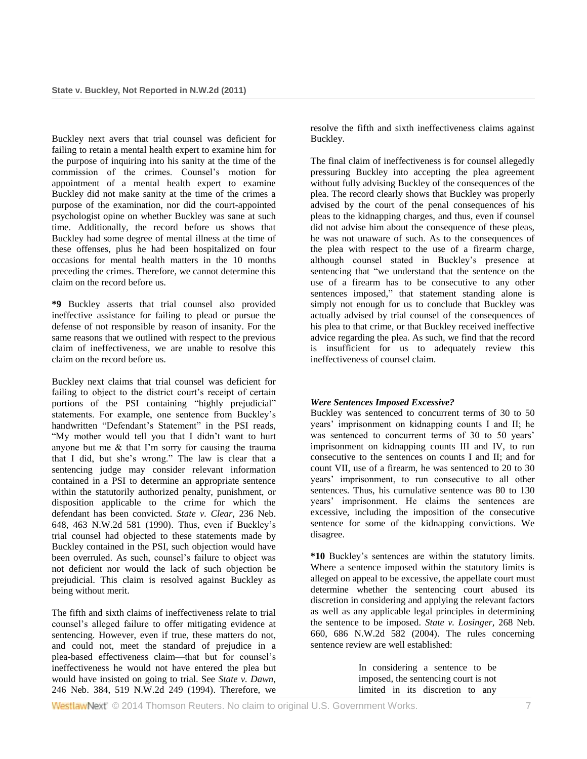Buckley next avers that trial counsel was deficient for failing to retain a mental health expert to examine him for the purpose of inquiring into his sanity at the time of the commission of the crimes. Counsel's motion for appointment of a mental health expert to examine Buckley did not make sanity at the time of the crimes a purpose of the examination, nor did the court-appointed psychologist opine on whether Buckley was sane at such time. Additionally, the record before us shows that Buckley had some degree of mental illness at the time of these offenses, plus he had been hospitalized on four occasions for mental health matters in the 10 months preceding the crimes. Therefore, we cannot determine this claim on the record before us.

**\*9** Buckley asserts that trial counsel also provided ineffective assistance for failing to plead or pursue the defense of not responsible by reason of insanity. For the same reasons that we outlined with respect to the previous claim of ineffectiveness, we are unable to resolve this claim on the record before us.

Buckley next claims that trial counsel was deficient for failing to object to the district court's receipt of certain portions of the PSI containing "highly prejudicial" statements. For example, one sentence from Buckley's handwritten "Defendant's Statement" in the PSI reads, "My mother would tell you that I didn't want to hurt anyone but me & that I'm sorry for causing the trauma that I did, but she's wrong." The law is clear that a sentencing judge may consider relevant information contained in a PSI to determine an appropriate sentence within the statutorily authorized penalty, punishment, or disposition applicable to the crime for which the defendant has been convicted. *[State v. Clear,](http://www.westlaw.com/Link/Document/FullText?findType=Y&serNum=1990175919&pubNum=595&originationContext=document&vr=3.0&rs=cblt1.0&transitionType=DocumentItem&contextData=(sc.Search))* 236 Neb. [648, 463 N.W.2d 581 \(1990\).](http://www.westlaw.com/Link/Document/FullText?findType=Y&serNum=1990175919&pubNum=595&originationContext=document&vr=3.0&rs=cblt1.0&transitionType=DocumentItem&contextData=(sc.Search)) Thus, even if Buckley's trial counsel had objected to these statements made by Buckley contained in the PSI, such objection would have been overruled. As such, counsel's failure to object was not deficient nor would the lack of such objection be prejudicial. This claim is resolved against Buckley as being without merit.

The fifth and sixth claims of ineffectiveness relate to trial counsel's alleged failure to offer mitigating evidence at sentencing. However, even if true, these matters do not, and could not, meet the standard of prejudice in a plea-based effectiveness claim—that but for counsel's ineffectiveness he would not have entered the plea but would have insisted on going to trial. See *[State v. Dawn,](http://www.westlaw.com/Link/Document/FullText?findType=Y&serNum=1994159088&pubNum=595&originationContext=document&vr=3.0&rs=cblt1.0&transitionType=DocumentItem&contextData=(sc.Search))* [246 Neb. 384, 519 N.W.2d 249 \(1994\).](http://www.westlaw.com/Link/Document/FullText?findType=Y&serNum=1994159088&pubNum=595&originationContext=document&vr=3.0&rs=cblt1.0&transitionType=DocumentItem&contextData=(sc.Search)) Therefore, we

resolve the fifth and sixth ineffectiveness claims against Buckley.

The final claim of ineffectiveness is for counsel allegedly pressuring Buckley into accepting the plea agreement without fully advising Buckley of the consequences of the plea. The record clearly shows that Buckley was properly advised by the court of the penal consequences of his pleas to the kidnapping charges, and thus, even if counsel did not advise him about the consequence of these pleas, he was not unaware of such. As to the consequences of the plea with respect to the use of a firearm charge, although counsel stated in Buckley's presence at sentencing that "we understand that the sentence on the use of a firearm has to be consecutive to any other sentences imposed," that statement standing alone is simply not enough for us to conclude that Buckley was actually advised by trial counsel of the consequences of his plea to that crime, or that Buckley received ineffective advice regarding the plea. As such, we find that the record is insufficient for us to adequately review this ineffectiveness of counsel claim.

# *Were Sentences Imposed Excessive?*

Buckley was sentenced to concurrent terms of 30 to 50 years' imprisonment on kidnapping counts I and II; he was sentenced to concurrent terms of 30 to 50 years' imprisonment on kidnapping counts III and IV, to run consecutive to the sentences on counts I and II; and for count VII, use of a firearm, he was sentenced to 20 to 30 years' imprisonment, to run consecutive to all other sentences. Thus, his cumulative sentence was 80 to 130 years' imprisonment. He claims the sentences are excessive, including the imposition of the consecutive sentence for some of the kidnapping convictions. We disagree.

**\*10** Buckley's sentences are within the statutory limits. Where a sentence imposed within the statutory limits is alleged on appeal to be excessive, the appellate court must determine whether the sentencing court abused its discretion in considering and applying the relevant factors as well as any applicable legal principles in determining the sentence to be imposed. *[State v. Losinger,](http://www.westlaw.com/Link/Document/FullText?findType=Y&serNum=2005139531&pubNum=595&originationContext=document&vr=3.0&rs=cblt1.0&transitionType=DocumentItem&contextData=(sc.Search))* 268 Neb. [660, 686 N.W.2d 582 \(2004\).](http://www.westlaw.com/Link/Document/FullText?findType=Y&serNum=2005139531&pubNum=595&originationContext=document&vr=3.0&rs=cblt1.0&transitionType=DocumentItem&contextData=(sc.Search)) The rules concerning sentence review are well established:

> In considering a sentence to be imposed, the sentencing court is not limited in its discretion to any

WestlawNext<sup>®</sup> © 2014 Thomson Reuters. No claim to original U.S. Government Works. 7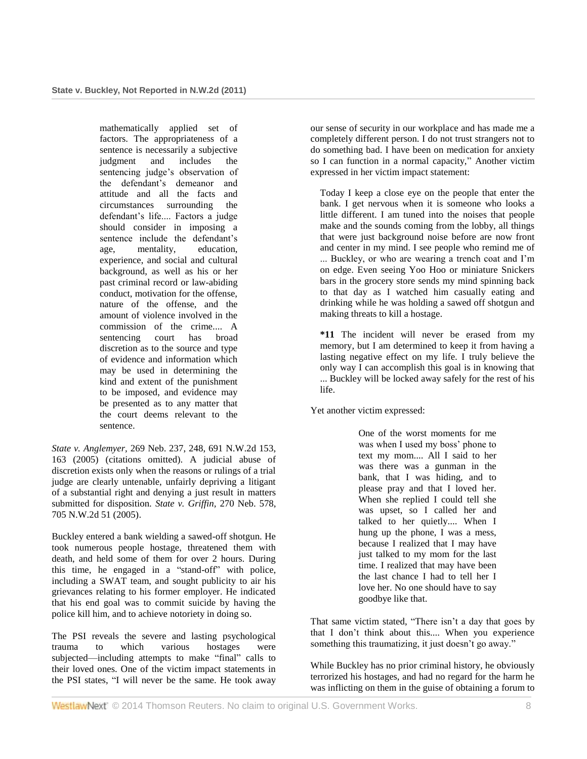mathematically applied set of factors. The appropriateness of a sentence is necessarily a subjective judgment and includes the sentencing judge's observation of the defendant's demeanor and attitude and all the facts and circumstances surrounding the defendant's life.... Factors a judge should consider in imposing a sentence include the defendant's<br>age. mentality. education. age, mentality, experience, and social and cultural background, as well as his or her past criminal record or law-abiding conduct, motivation for the offense, nature of the offense, and the amount of violence involved in the commission of the crime.... A sentencing court has broad discretion as to the source and type of evidence and information which may be used in determining the kind and extent of the punishment to be imposed, and evidence may be presented as to any matter that the court deems relevant to the sentence.

*State v. Anglemyer,* 269 [Neb. 237, 248, 691 N.W.2d 153,](http://www.westlaw.com/Link/Document/FullText?findType=Y&serNum=2006135800&pubNum=595&fi=co_pp_sp_595_163&originationContext=document&vr=3.0&rs=cblt1.0&transitionType=DocumentItem&contextData=(sc.Search)#co_pp_sp_595_163)  [163 \(2005\)](http://www.westlaw.com/Link/Document/FullText?findType=Y&serNum=2006135800&pubNum=595&fi=co_pp_sp_595_163&originationContext=document&vr=3.0&rs=cblt1.0&transitionType=DocumentItem&contextData=(sc.Search)#co_pp_sp_595_163) (citations omitted). A judicial abuse of discretion exists only when the reasons or rulings of a trial judge are clearly untenable, unfairly depriving a litigant of a substantial right and denying a just result in matters submitted for disposition. *[State v. Griffin,](http://www.westlaw.com/Link/Document/FullText?findType=Y&serNum=2007580034&pubNum=595&originationContext=document&vr=3.0&rs=cblt1.0&transitionType=DocumentItem&contextData=(sc.Search))* 270 Neb. 578, [705 N.W.2d 51 \(2005\).](http://www.westlaw.com/Link/Document/FullText?findType=Y&serNum=2007580034&pubNum=595&originationContext=document&vr=3.0&rs=cblt1.0&transitionType=DocumentItem&contextData=(sc.Search))

Buckley entered a bank wielding a sawed-off shotgun. He took numerous people hostage, threatened them with death, and held some of them for over 2 hours. During this time, he engaged in a "stand-off" with police, including a SWAT team, and sought publicity to air his grievances relating to his former employer. He indicated that his end goal was to commit suicide by having the police kill him, and to achieve notoriety in doing so.

The PSI reveals the severe and lasting psychological trauma to which various hostages were subjected—including attempts to make "final" calls to their loved ones. One of the victim impact statements in the PSI states, "I will never be the same. He took away our sense of security in our workplace and has made me a completely different person. I do not trust strangers not to do something bad. I have been on medication for anxiety so I can function in a normal capacity," Another victim expressed in her victim impact statement:

Today I keep a close eye on the people that enter the bank. I get nervous when it is someone who looks a little different. I am tuned into the noises that people make and the sounds coming from the lobby, all things that were just background noise before are now front and center in my mind. I see people who remind me of ... Buckley, or who are wearing a trench coat and I'm on edge. Even seeing Yoo Hoo or miniature Snickers bars in the grocery store sends my mind spinning back to that day as I watched him casually eating and drinking while he was holding a sawed off shotgun and making threats to kill a hostage.

**\*11** The incident will never be erased from my memory, but I am determined to keep it from having a lasting negative effect on my life. I truly believe the only way I can accomplish this goal is in knowing that ... Buckley will be locked away safely for the rest of his life.

Yet another victim expressed:

One of the worst moments for me was when I used my boss' phone to text my mom.... All I said to her was there was a gunman in the bank, that I was hiding, and to please pray and that I loved her. When she replied I could tell she was upset, so I called her and talked to her quietly.... When I hung up the phone, I was a mess, because I realized that I may have just talked to my mom for the last time. I realized that may have been the last chance I had to tell her I love her. No one should have to say goodbye like that.

That same victim stated, "There isn't a day that goes by that I don't think about this.... When you experience something this traumatizing, it just doesn't go away."

While Buckley has no prior criminal history, he obviously terrorized his hostages, and had no regard for the harm he was inflicting on them in the guise of obtaining a forum to